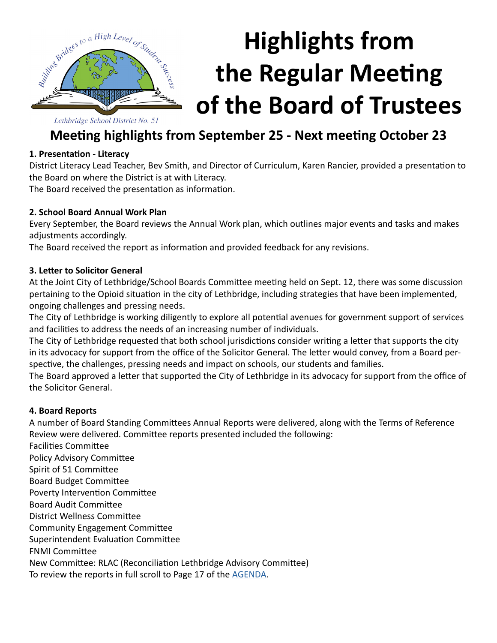

# **Highlights from the Regular Meeting of the Board of Trustees**

Lethbridge School District No. 51

### **Meeting highlights from September 25 - Next meeting October 23**

#### **1. Presentation - Literacy**

District Literacy Lead Teacher, Bev Smith, and Director of Curriculum, Karen Rancier, provided a presentation to the Board on where the District is at with Literacy.

The Board received the presentation as information.

#### **2. School Board Annual Work Plan**

Every September, the Board reviews the Annual Work plan, which outlines major events and tasks and makes adjustments accordingly.

The Board received the report as information and provided feedback for any revisions.

#### **3. Letter to Solicitor General**

At the Joint City of Lethbridge/School Boards Committee meeting held on Sept. 12, there was some discussion pertaining to the Opioid situation in the city of Lethbridge, including strategies that have been implemented, ongoing challenges and pressing needs.

The City of Lethbridge is working diligently to explore all potential avenues for government support of services and facilities to address the needs of an increasing number of individuals.

The City of Lethbridge requested that both school jurisdictions consider writing a letter that supports the city in its advocacy for support from the office of the Solicitor General. The letter would convey, from a Board perspective, the challenges, pressing needs and impact on schools, our students and families.

The Board approved a letter that supported the City of Lethbridge in its advocacy for support from the office of the Solicitor General.

#### **4. Board Reports**

A number of Board Standing Committees Annual Reports were delivered, along with the Terms of Reference Review were delivered. Committee reports presented included the following:

Facilities Committee

Policy Advisory Committee

Spirit of 51 Committee

Board Budget Committee

Poverty Intervention Committee

Board Audit Committee

District Wellness Committee

Community Engagement Committee

Superintendent Evaluation Committee

FNMI Committee

New Committee: RLAC (Reconciliation Lethbridge Advisory Committee)

To review the reports in full scroll to Page 17 of the [AGENDA](http://www.lethsd.ab.ca/documents/general/2018-09-25%20Board%20Meeting%20Agenda.pdf).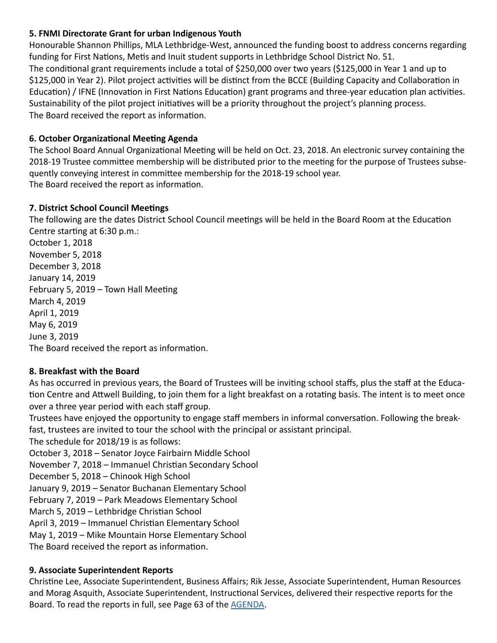#### **5. FNMI Directorate Grant for urban Indigenous Youth**

Honourable Shannon Phillips, MLA Lethbridge-West, announced the funding boost to address concerns regarding funding for First Nations, Metis and Inuit student supports in Lethbridge School District No. 51. The conditional grant requirements include a total of \$250,000 over two years (\$125,000 in Year 1 and up to \$125,000 in Year 2). Pilot project activities will be distinct from the BCCE (Building Capacity and Collaboration in Education) / IFNE (Innovation in First Nations Education) grant programs and three-year education plan activities. Sustainability of the pilot project initiatives will be a priority throughout the project's planning process. The Board received the report as information.

#### **6. October Organizational Meeting Agenda**

The School Board Annual Organizational Meeting will be held on Oct. 23, 2018. An electronic survey containing the 2018-19 Trustee committee membership will be distributed prior to the meeting for the purpose of Trustees subsequently conveying interest in committee membership for the 2018-19 school year. The Board received the report as information.

#### **7. District School Council Meetings**

The following are the dates District School Council meetings will be held in the Board Room at the Education Centre starting at 6:30 p.m.:

October 1, 2018 November 5, 2018 December 3, 2018 January 14, 2019 February 5, 2019 – Town Hall Meeting March 4, 2019 April 1, 2019 May 6, 2019 June 3, 2019 The Board received the report as information.

#### **8. Breakfast with the Board**

As has occurred in previous years, the Board of Trustees will be inviting school staffs, plus the staff at the Education Centre and Attwell Building, to join them for a light breakfast on a rotating basis. The intent is to meet once over a three year period with each staff group.

Trustees have enjoyed the opportunity to engage staff members in informal conversation. Following the breakfast, trustees are invited to tour the school with the principal or assistant principal.

The schedule for 2018/19 is as follows:

October 3, 2018 – Senator Joyce Fairbairn Middle School

November 7, 2018 – Immanuel Christian Secondary School

December 5, 2018 – Chinook High School

January 9, 2019 – Senator Buchanan Elementary School

February 7, 2019 – Park Meadows Elementary School

March 5, 2019 – Lethbridge Christian School

April 3, 2019 – Immanuel Christian Elementary School

May 1, 2019 – Mike Mountain Horse Elementary School

The Board received the report as information.

#### **9. Associate Superintendent Reports**

Christine Lee, Associate Superintendent, Business Affairs; Rik Jesse, Associate Superintendent, Human Resources and Morag Asquith, Associate Superintendent, Instructional Services, delivered their respective reports for the Board. To read the reports in full, see Page 63 of the [AGENDA](http://www.lethsd.ab.ca/documents/general/2018-09-25%20Board%20Meeting%20Agenda.pdf).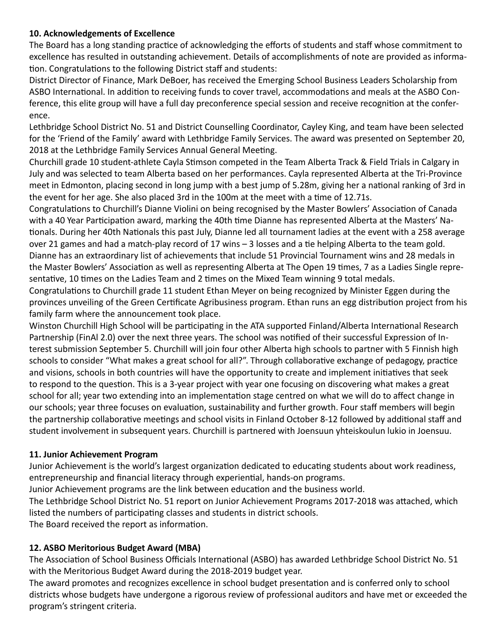#### **10. Acknowledgements of Excellence**

The Board has a long standing practice of acknowledging the efforts of students and staff whose commitment to excellence has resulted in outstanding achievement. Details of accomplishments of note are provided as information. Congratulations to the following District staff and students:

District Director of Finance, Mark DeBoer, has received the Emerging School Business Leaders Scholarship from ASBO International. In addition to receiving funds to cover travel, accommodations and meals at the ASBO Conference, this elite group will have a full day preconference special session and receive recognition at the conference.

Lethbridge School District No. 51 and District Counselling Coordinator, Cayley King, and team have been selected for the 'Friend of the Family' award with Lethbridge Family Services. The award was presented on September 20, 2018 at the Lethbridge Family Services Annual General Meeting.

Churchill grade 10 student-athlete Cayla Stimson competed in the Team Alberta Track & Field Trials in Calgary in July and was selected to team Alberta based on her performances. Cayla represented Alberta at the Tri-Province meet in Edmonton, placing second in long jump with a best jump of 5.28m, giving her a national ranking of 3rd in the event for her age. She also placed 3rd in the 100m at the meet with a time of 12.71s.

Congratulations to Churchill's Dianne Violini on being recognised by the Master Bowlers' Association of Canada with a 40 Year Participation award, marking the 40th time Dianne has represented Alberta at the Masters' Nationals. During her 40th Nationals this past July, Dianne led all tournament ladies at the event with a 258 average over 21 games and had a match-play record of 17 wins – 3 losses and a tie helping Alberta to the team gold. Dianne has an extraordinary list of achievements that include 51 Provincial Tournament wins and 28 medals in the Master Bowlers' Association as well as representing Alberta at The Open 19 times, 7 as a Ladies Single representative, 10 times on the Ladies Team and 2 times on the Mixed Team winning 9 total medals.

Congratulations to Churchill grade 11 student Ethan Meyer on being recognized by Minister Eggen during the provinces unveiling of the Green Certificate Agribusiness program. Ethan runs an egg distribution project from his family farm where the announcement took place.

Winston Churchill High School will be participating in the ATA supported Finland/Alberta International Research Partnership (FinAl 2.0) over the next three years. The school was notified of their successful Expression of Interest submission September 5. Churchill will join four other Alberta high schools to partner with 5 Finnish high schools to consider "What makes a great school for all?". Through collaborative exchange of pedagogy, practice and visions, schools in both countries will have the opportunity to create and implement initiatives that seek to respond to the question. This is a 3-year project with year one focusing on discovering what makes a great school for all; year two extending into an implementation stage centred on what we will do to affect change in our schools; year three focuses on evaluation, sustainability and further growth. Four staff members will begin the partnership collaborative meetings and school visits in Finland October 8-12 followed by additional staff and student involvement in subsequent years. Churchill is partnered with Joensuun yhteiskoulun lukio in Joensuu.

#### **11. Junior Achievement Program**

Junior Achievement is the world's largest organization dedicated to educating students about work readiness, entrepreneurship and financial literacy through experiential, hands-on programs.

Junior Achievement programs are the link between education and the business world.

The Lethbridge School District No. 51 report on Junior Achievement Programs 2017-2018 was attached, which listed the numbers of participating classes and students in district schools.

The Board received the report as information.

#### **12. ASBO Meritorious Budget Award (MBA)**

The Association of School Business Officials International (ASBO) has awarded Lethbridge School District No. 51 with the Meritorious Budget Award during the 2018-2019 budget year.

The award promotes and recognizes excellence in school budget presentation and is conferred only to school districts whose budgets have undergone a rigorous review of professional auditors and have met or exceeded the program's stringent criteria.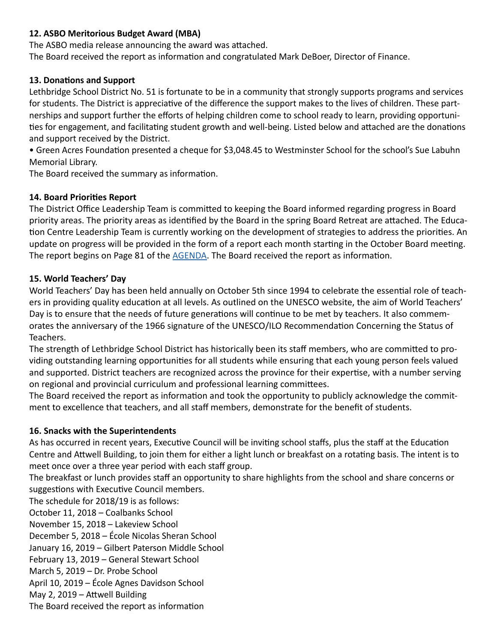#### **12. ASBO Meritorious Budget Award (MBA)**

The ASBO media release announcing the award was attached.

The Board received the report as information and congratulated Mark DeBoer, Director of Finance.

#### **13. Donations and Support**

Lethbridge School District No. 51 is fortunate to be in a community that strongly supports programs and services for students. The District is appreciative of the difference the support makes to the lives of children. These partnerships and support further the efforts of helping children come to school ready to learn, providing opportunities for engagement, and facilitating student growth and well-being. Listed below and attached are the donations and support received by the District.

• Green Acres Foundation presented a cheque for \$3,048.45 to Westminster School for the school's Sue Labuhn Memorial Library.

The Board received the summary as information.

#### **14. Board Priorities Report**

The District Office Leadership Team is committed to keeping the Board informed regarding progress in Board priority areas. The priority areas as identified by the Board in the spring Board Retreat are attached. The Education Centre Leadership Team is currently working on the development of strategies to address the priorities. An update on progress will be provided in the form of a report each month starting in the October Board meeting. The report begins on Page 81 of the [AGENDA.](http://www.lethsd.ab.ca/documents/general/2018-09-25%20Board%20Meeting%20Agenda.pdf) The Board received the report as information.

#### **15. World Teachers' Day**

World Teachers' Day has been held annually on October 5th since 1994 to celebrate the essential role of teachers in providing quality education at all levels. As outlined on the UNESCO website, the aim of World Teachers' Day is to ensure that the needs of future generations will continue to be met by teachers. It also commemorates the anniversary of the 1966 signature of the UNESCO/ILO Recommendation Concerning the Status of Teachers.

The strength of Lethbridge School District has historically been its staff members, who are committed to providing outstanding learning opportunities for all students while ensuring that each young person feels valued and supported. District teachers are recognized across the province for their expertise, with a number serving on regional and provincial curriculum and professional learning committees.

The Board received the report as information and took the opportunity to publicly acknowledge the commitment to excellence that teachers, and all staff members, demonstrate for the benefit of students.

#### **16. Snacks with the Superintendents**

As has occurred in recent years, Executive Council will be inviting school staffs, plus the staff at the Education Centre and Attwell Building, to join them for either a light lunch or breakfast on a rotating basis. The intent is to meet once over a three year period with each staff group.

The breakfast or lunch provides staff an opportunity to share highlights from the school and share concerns or suggestions with Executive Council members.

The schedule for 2018/19 is as follows: October 11, 2018 – Coalbanks School November 15, 2018 – Lakeview School December 5, 2018 – École Nicolas Sheran School January 16, 2019 – Gilbert Paterson Middle School February 13, 2019 – General Stewart School March 5, 2019 – Dr. Probe School April 10, 2019 – École Agnes Davidson School May 2, 2019 – Attwell Building The Board received the report as information